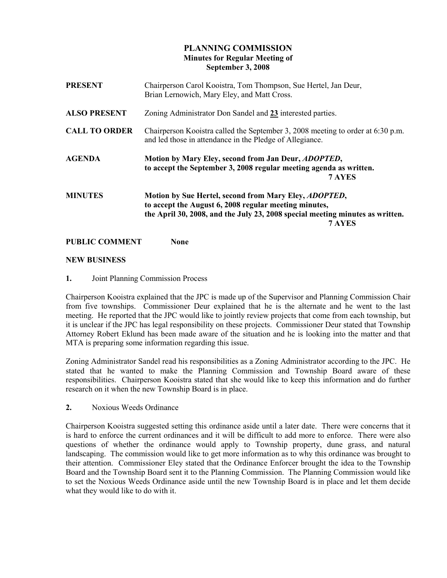# PLANNING COMMISSION Minutes for Regular Meeting of September 3, 2008

| <b>PRESENT</b>       | Chairperson Carol Kooistra, Tom Thompson, Sue Hertel, Jan Deur,<br>Brian Lernowich, Mary Eley, and Matt Cross.                                                                                                    |
|----------------------|-------------------------------------------------------------------------------------------------------------------------------------------------------------------------------------------------------------------|
| <b>ALSO PRESENT</b>  | Zoning Administrator Don Sandel and 23 interested parties.                                                                                                                                                        |
| <b>CALL TO ORDER</b> | Chairperson Kooistra called the September 3, 2008 meeting to order at 6:30 p.m.<br>and led those in attendance in the Pledge of Allegiance.                                                                       |
| <b>AGENDA</b>        | Motion by Mary Eley, second from Jan Deur, <i>ADOPTED</i> ,<br>to accept the September 3, 2008 regular meeting agenda as written.<br>7 AYES                                                                       |
| <b>MINUTES</b>       | Motion by Sue Hertel, second from Mary Eley, <i>ADOPTED</i> ,<br>to accept the August 6, 2008 regular meeting minutes,<br>the April 30, 2008, and the July 23, 2008 special meeting minutes as written.<br>7 AYES |

## PUBLIC COMMENT None

## NEW BUSINESS

## 1. Joint Planning Commission Process

Chairperson Kooistra explained that the JPC is made up of the Supervisor and Planning Commission Chair from five townships. Commissioner Deur explained that he is the alternate and he went to the last meeting. He reported that the JPC would like to jointly review projects that come from each township, but it is unclear if the JPC has legal responsibility on these projects. Commissioner Deur stated that Township Attorney Robert Eklund has been made aware of the situation and he is looking into the matter and that MTA is preparing some information regarding this issue.

Zoning Administrator Sandel read his responsibilities as a Zoning Administrator according to the JPC. He stated that he wanted to make the Planning Commission and Township Board aware of these responsibilities. Chairperson Kooistra stated that she would like to keep this information and do further research on it when the new Township Board is in place.

2. Noxious Weeds Ordinance

Chairperson Kooistra suggested setting this ordinance aside until a later date. There were concerns that it is hard to enforce the current ordinances and it will be difficult to add more to enforce. There were also questions of whether the ordinance would apply to Township property, dune grass, and natural landscaping. The commission would like to get more information as to why this ordinance was brought to their attention. Commissioner Eley stated that the Ordinance Enforcer brought the idea to the Township Board and the Township Board sent it to the Planning Commission. The Planning Commission would like to set the Noxious Weeds Ordinance aside until the new Township Board is in place and let them decide what they would like to do with it.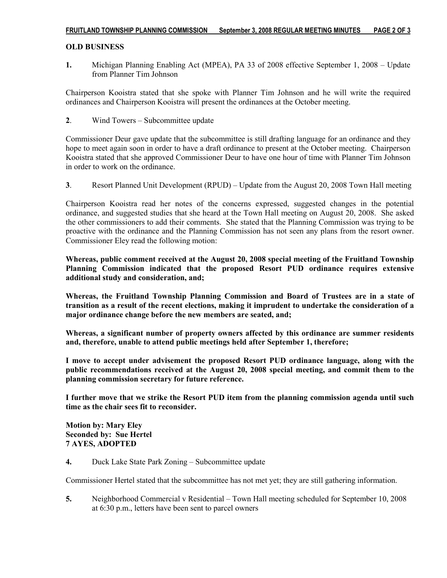## OLD BUSINESS

1. Michigan Planning Enabling Act (MPEA), PA 33 of 2008 effective September 1, 2008 – Update from Planner Tim Johnson

Chairperson Kooistra stated that she spoke with Planner Tim Johnson and he will write the required ordinances and Chairperson Kooistra will present the ordinances at the October meeting.

2. Wind Towers – Subcommittee update

Commissioner Deur gave update that the subcommittee is still drafting language for an ordinance and they hope to meet again soon in order to have a draft ordinance to present at the October meeting. Chairperson Kooistra stated that she approved Commissioner Deur to have one hour of time with Planner Tim Johnson in order to work on the ordinance.

3. Resort Planned Unit Development (RPUD) – Update from the August 20, 2008 Town Hall meeting

Chairperson Kooistra read her notes of the concerns expressed, suggested changes in the potential ordinance, and suggested studies that she heard at the Town Hall meeting on August 20, 2008. She asked the other commissioners to add their comments. She stated that the Planning Commission was trying to be proactive with the ordinance and the Planning Commission has not seen any plans from the resort owner. Commissioner Eley read the following motion:

Whereas, public comment received at the August 20, 2008 special meeting of the Fruitland Township Planning Commission indicated that the proposed Resort PUD ordinance requires extensive additional study and consideration, and;

Whereas, the Fruitland Township Planning Commission and Board of Trustees are in a state of transition as a result of the recent elections, making it imprudent to undertake the consideration of a major ordinance change before the new members are seated, and;

Whereas, a significant number of property owners affected by this ordinance are summer residents and, therefore, unable to attend public meetings held after September 1, therefore;

I move to accept under advisement the proposed Resort PUD ordinance language, along with the public recommendations received at the August 20, 2008 special meeting, and commit them to the planning commission secretary for future reference.

I further move that we strike the Resort PUD item from the planning commission agenda until such time as the chair sees fit to reconsider.

Motion by: Mary Eley Seconded by: Sue Hertel 7 AYES, ADOPTED

4. Duck Lake State Park Zoning – Subcommittee update

Commissioner Hertel stated that the subcommittee has not met yet; they are still gathering information.

5. Neighborhood Commercial v Residential – Town Hall meeting scheduled for September 10, 2008 at 6:30 p.m., letters have been sent to parcel owners